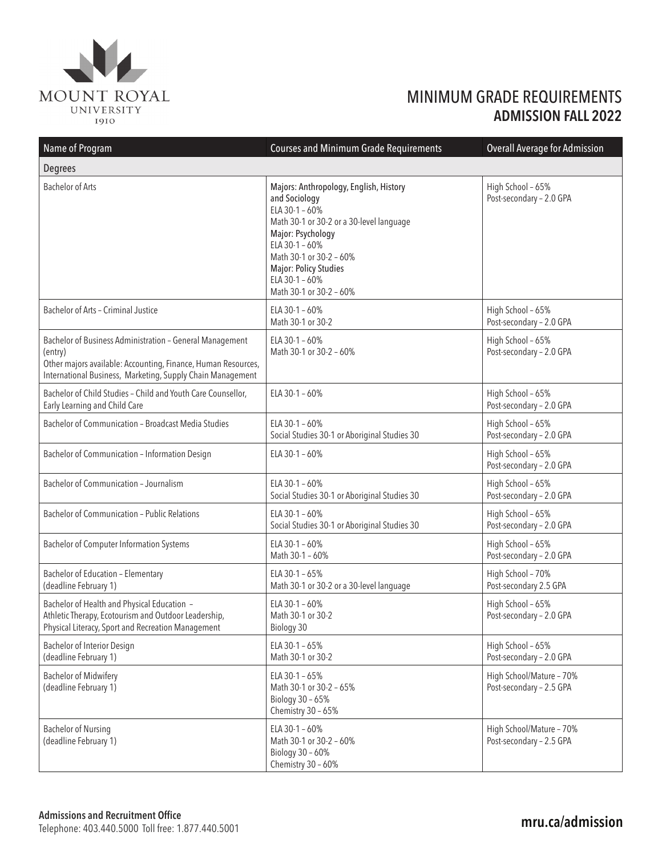

## MINIMUM GRADE REQUIREMENTS **ADMISSION FALL 2022**

| Name of Program                                                                                                                                                                                    | <b>Courses and Minimum Grade Requirements</b>                                                                                                                                                                                                                        | <b>Overall Average for Admission</b>                 |  |
|----------------------------------------------------------------------------------------------------------------------------------------------------------------------------------------------------|----------------------------------------------------------------------------------------------------------------------------------------------------------------------------------------------------------------------------------------------------------------------|------------------------------------------------------|--|
| Degrees                                                                                                                                                                                            |                                                                                                                                                                                                                                                                      |                                                      |  |
| <b>Bachelor of Arts</b>                                                                                                                                                                            | Majors: Anthropology, English, History<br>and Sociology<br>ELA 30-1 - 60%<br>Math 30-1 or 30-2 or a 30-level language<br>Major: Psychology<br>ELA 30-1 - 60%<br>Math 30-1 or 30-2 - 60%<br><b>Major: Policy Studies</b><br>ELA 30-1 - 60%<br>Math 30-1 or 30-2 - 60% | High School - 65%<br>Post-secondary - 2.0 GPA        |  |
| Bachelor of Arts - Criminal Justice                                                                                                                                                                | ELA 30-1 - 60%<br>Math 30-1 or 30-2                                                                                                                                                                                                                                  | High School - 65%<br>Post-secondary - 2.0 GPA        |  |
| Bachelor of Business Administration - General Management<br>(entry)<br>Other majors available: Accounting, Finance, Human Resources,<br>International Business, Marketing, Supply Chain Management | ELA $30-1 - 60%$<br>Math 30-1 or 30-2 - 60%                                                                                                                                                                                                                          | High School - 65%<br>Post-secondary - 2.0 GPA        |  |
| Bachelor of Child Studies - Child and Youth Care Counsellor,<br>Early Learning and Child Care                                                                                                      | ELA $30-1 - 60%$                                                                                                                                                                                                                                                     | High School - 65%<br>Post-secondary - 2.0 GPA        |  |
| Bachelor of Communication - Broadcast Media Studies                                                                                                                                                | ELA $30-1 - 60%$<br>Social Studies 30-1 or Aboriginal Studies 30                                                                                                                                                                                                     | High School - 65%<br>Post-secondary - 2.0 GPA        |  |
| Bachelor of Communication - Information Design                                                                                                                                                     | ELA 30-1 - 60%                                                                                                                                                                                                                                                       | High School - 65%<br>Post-secondary - 2.0 GPA        |  |
| Bachelor of Communication - Journalism                                                                                                                                                             | ELA $30-1 - 60%$<br>Social Studies 30-1 or Aboriginal Studies 30                                                                                                                                                                                                     | High School - 65%<br>Post-secondary - 2.0 GPA        |  |
| Bachelor of Communication - Public Relations                                                                                                                                                       | ELA 30-1 - 60%<br>Social Studies 30-1 or Aboriginal Studies 30                                                                                                                                                                                                       | High School - 65%<br>Post-secondary - 2.0 GPA        |  |
| <b>Bachelor of Computer Information Systems</b>                                                                                                                                                    | ELA 30-1 - 60%<br>Math 30-1 - 60%                                                                                                                                                                                                                                    | High School - 65%<br>Post-secondary - 2.0 GPA        |  |
| Bachelor of Education - Elementary<br>(deadline February 1)                                                                                                                                        | ELA $30-1 - 65%$<br>Math 30-1 or 30-2 or a 30-level language                                                                                                                                                                                                         | High School - 70%<br>Post-secondary 2.5 GPA          |  |
| Bachelor of Health and Physical Education -<br>Athletic Therapy, Ecotourism and Outdoor Leadership,<br>Physical Literacy, Sport and Recreation Management                                          | ELA 30-1 - 60%<br>Math 30-1 or 30-2<br>Biology 30                                                                                                                                                                                                                    | High School - 65%<br>Post-secondary - 2.0 GPA        |  |
| Bachelor of Interior Design<br>(deadline February 1)                                                                                                                                               | ELA 30-1 - 65%<br>Math 30-1 or 30-2                                                                                                                                                                                                                                  | High School - 65%<br>Post-secondary - 2.0 GPA        |  |
| <b>Bachelor of Midwifery</b><br>(deadline February 1)                                                                                                                                              | ELA 30-1 - 65%<br>Math 30-1 or 30-2 - 65%<br>Biology 30 - 65%<br>Chemistry 30 - 65%                                                                                                                                                                                  | High School/Mature - 70%<br>Post-secondary - 2.5 GPA |  |
| <b>Bachelor of Nursing</b><br>(deadline February 1)                                                                                                                                                | ELA 30-1 - 60%<br>Math 30-1 or 30-2 - 60%<br>Biology 30 - 60%<br>Chemistry 30 - 60%                                                                                                                                                                                  | High School/Mature - 70%<br>Post-secondary - 2.5 GPA |  |